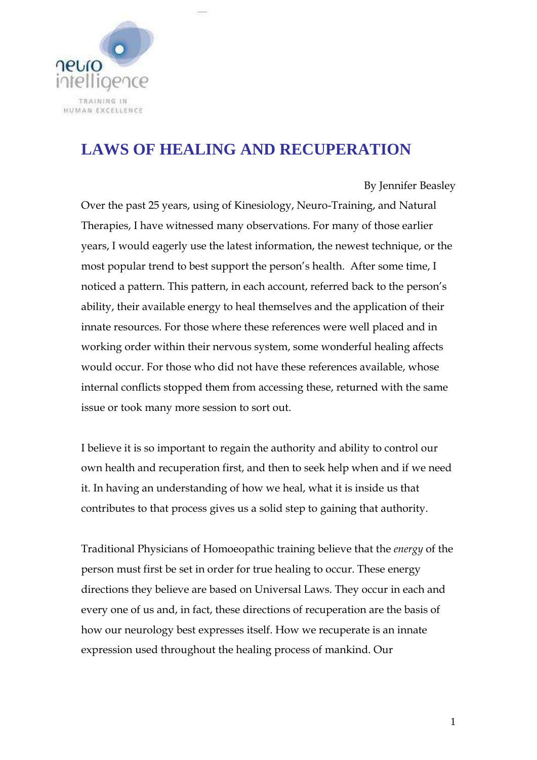

# **LAWS OF HEALING AND RECUPERATION**

## By Jennifer Beasley

Over the past 25 years, using of Kinesiology, Neuro-Training, and Natural Therapies, I have witnessed many observations. For many of those earlier years, I would eagerly use the latest information, the newest technique, or the most popular trend to best support the person's health. After some time, I noticed a pattern. This pattern, in each account, referred back to the person's ability, their available energy to heal themselves and the application of their innate resources. For those where these references were well placed and in working order within their nervous system, some wonderful healing affects would occur. For those who did not have these references available, whose internal conflicts stopped them from accessing these, returned with the same issue or took many more session to sort out.

I believe it is so important to regain the authority and ability to control our own health and recuperation first, and then to seek help when and if we need it. In having an understanding of how we heal, what it is inside us that contributes to that process gives us a solid step to gaining that authority.

Traditional Physicians of Homoeopathic training believe that the *energy* of the person must first be set in order for true healing to occur. These energy directions they believe are based on Universal Laws. They occur in each and every one of us and, in fact, these directions of recuperation are the basis of how our neurology best expresses itself. How we recuperate is an innate expression used throughout the healing process of mankind. Our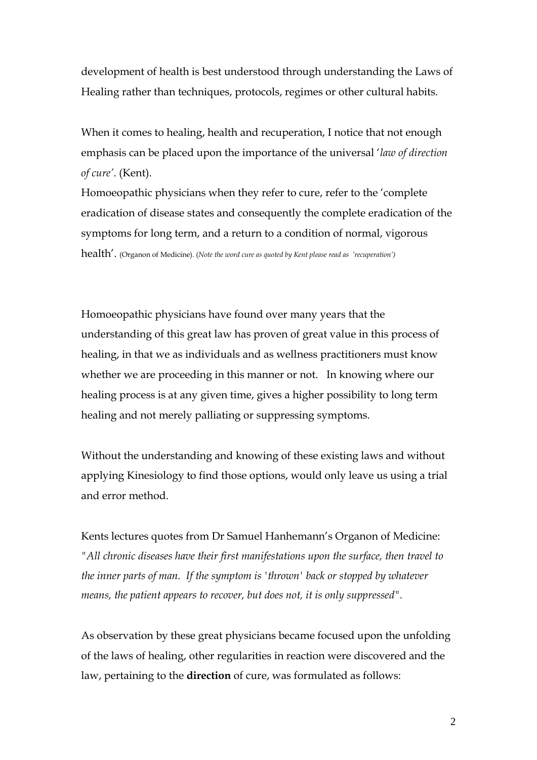development of health is best understood through understanding the Laws of Healing rather than techniques, protocols, regimes or other cultural habits.

When it comes to healing, health and recuperation, I notice that not enough emphasis can be placed upon the importance of the universal '*law of direction of cure'*. (Kent).

Homoeopathic physicians when they refer to cure, refer to the 'complete eradication of disease states and consequently the complete eradication of the symptoms for long term, and a return to a condition of normal, vigorous health'. (Organon of Medicine). (*Note the word cure as quoted by Kent please read as 'recuperation')*

Homoeopathic physicians have found over many years that the understanding of this great law has proven of great value in this process of healing, in that we as individuals and as wellness practitioners must know whether we are proceeding in this manner or not. In knowing where our healing process is at any given time, gives a higher possibility to long term healing and not merely palliating or suppressing symptoms.

Without the understanding and knowing of these existing laws and without applying Kinesiology to find those options, would only leave us using a trial and error method.

Kents lectures quotes from Dr Samuel Hanhemann's Organon of Medicine: *"All chronic diseases have their first manifestations upon the surface, then travel to the inner parts of man. If the symptom is 'thrown' back or stopped by whatever means, the patient appears to recover, but does not, it is only suppressed".* 

As observation by these great physicians became focused upon the unfolding of the laws of healing, other regularities in reaction were discovered and the law, pertaining to the **direction** of cure, was formulated as follows: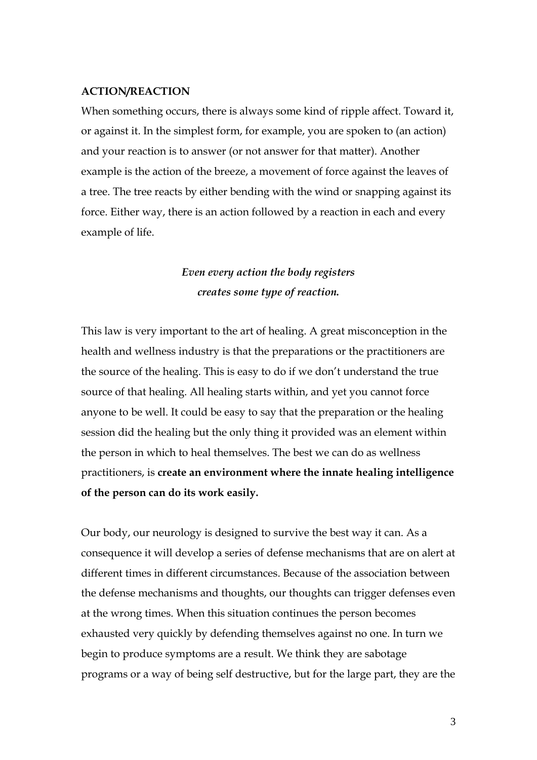## **ACTION/REACTION**

When something occurs, there is always some kind of ripple affect. Toward it, or against it. In the simplest form, for example, you are spoken to (an action) and your reaction is to answer (or not answer for that matter). Another example is the action of the breeze, a movement of force against the leaves of a tree. The tree reacts by either bending with the wind or snapping against its force. Either way, there is an action followed by a reaction in each and every example of life.

## *Even every action the body registers creates some type of reaction.*

This law is very important to the art of healing. A great misconception in the health and wellness industry is that the preparations or the practitioners are the source of the healing. This is easy to do if we don't understand the true source of that healing. All healing starts within, and yet you cannot force anyone to be well. It could be easy to say that the preparation or the healing session did the healing but the only thing it provided was an element within the person in which to heal themselves. The best we can do as wellness practitioners, is **create an environment where the innate healing intelligence of the person can do its work easily.**

Our body, our neurology is designed to survive the best way it can. As a consequence it will develop a series of defense mechanisms that are on alert at different times in different circumstances. Because of the association between the defense mechanisms and thoughts, our thoughts can trigger defenses even at the wrong times. When this situation continues the person becomes exhausted very quickly by defending themselves against no one. In turn we begin to produce symptoms are a result. We think they are sabotage programs or a way of being self destructive, but for the large part, they are the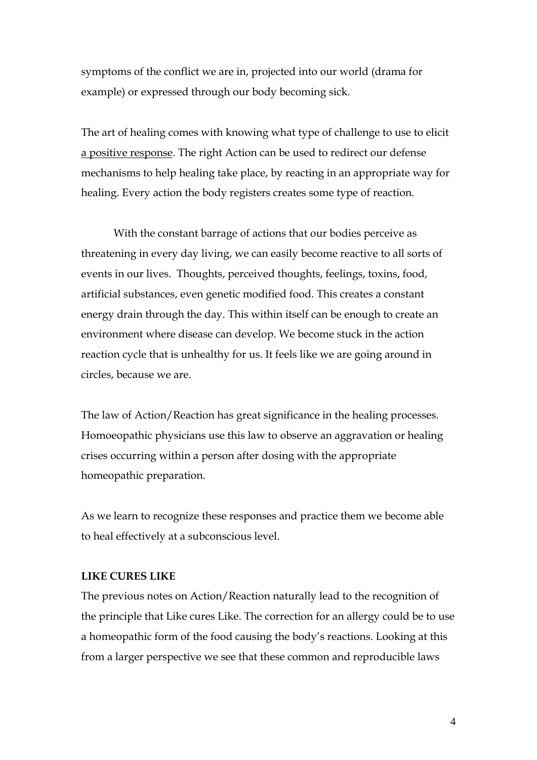symptoms of the conflict we are in, projected into our world (drama for example) or expressed through our body becoming sick.

The art of healing comes with knowing what type of challenge to use to elicit a positive response. The right Action can be used to redirect our defense mechanisms to help healing take place, by reacting in an appropriate way for healing. Every action the body registers creates some type of reaction.

With the constant barrage of actions that our bodies perceive as threatening in every day living, we can easily become reactive to all sorts of events in our lives. Thoughts, perceived thoughts, feelings, toxins, food, artificial substances, even genetic modified food. This creates a constant energy drain through the day. This within itself can be enough to create an environment where disease can develop. We become stuck in the action reaction cycle that is unhealthy for us. It feels like we are going around in circles, because we are.

The law of Action/Reaction has great significance in the healing processes. Homoeopathic physicians use this law to observe an aggravation or healing crises occurring within a person after dosing with the appropriate homeopathic preparation.

As we learn to recognize these responses and practice them we become able to heal effectively at a subconscious level.

## **LIKE CURES LIKE**

The previous notes on Action/Reaction naturally lead to the recognition of the principle that Like cures Like. The correction for an allergy could be to use a homeopathic form of the food causing the body's reactions. Looking at this from a larger perspective we see that these common and reproducible laws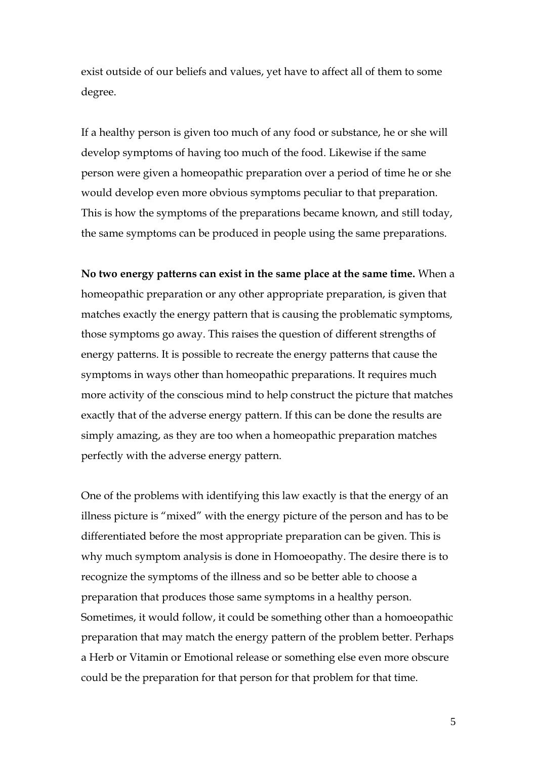exist outside of our beliefs and values, yet have to affect all of them to some degree.

If a healthy person is given too much of any food or substance, he or she will develop symptoms of having too much of the food. Likewise if the same person were given a homeopathic preparation over a period of time he or she would develop even more obvious symptoms peculiar to that preparation. This is how the symptoms of the preparations became known, and still today, the same symptoms can be produced in people using the same preparations.

**No two energy patterns can exist in the same place at the same time.** When a homeopathic preparation or any other appropriate preparation, is given that matches exactly the energy pattern that is causing the problematic symptoms, those symptoms go away. This raises the question of different strengths of energy patterns. It is possible to recreate the energy patterns that cause the symptoms in ways other than homeopathic preparations. It requires much more activity of the conscious mind to help construct the picture that matches exactly that of the adverse energy pattern. If this can be done the results are simply amazing, as they are too when a homeopathic preparation matches perfectly with the adverse energy pattern.

One of the problems with identifying this law exactly is that the energy of an illness picture is "mixed" with the energy picture of the person and has to be differentiated before the most appropriate preparation can be given. This is why much symptom analysis is done in Homoeopathy. The desire there is to recognize the symptoms of the illness and so be better able to choose a preparation that produces those same symptoms in a healthy person. Sometimes, it would follow, it could be something other than a homoeopathic preparation that may match the energy pattern of the problem better. Perhaps a Herb or Vitamin or Emotional release or something else even more obscure could be the preparation for that person for that problem for that time.

5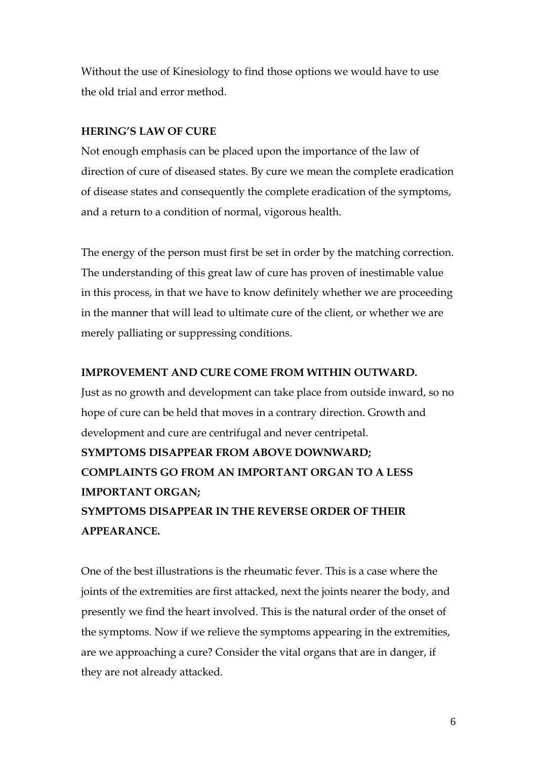Without the use of Kinesiology to find those options we would have to use the old trial and error method.

## **HERING'S LAW OF CURE**

Not enough emphasis can be placed upon the importance of the law of direction of cure of diseased states. By cure we mean the complete eradication of disease states and consequently the complete eradication of the symptoms, and a return to a condition of normal, vigorous health.

The energy of the person must first be set in order by the matching correction. The understanding of this great law of cure has proven of inestimable value in this process, in that we have to know definitely whether we are proceeding in the manner that will lead to ultimate cure of the client, or whether we are merely palliating or suppressing conditions.

## **IMPROVEMENT AND CURE COME FROM WITHIN OUTWARD.**

Just as no growth and development can take place from outside inward, so no hope of cure can be held that moves in a contrary direction. Growth and development and cure are centrifugal and never centripetal. **SYMPTOMS DISAPPEAR FROM ABOVE DOWNWARD; COMPLAINTS GO FROM AN IMPORTANT ORGAN TO A LESS IMPORTANT ORGAN; SYMPTOMS DISAPPEAR IN THE REVERSE ORDER OF THEIR APPEARANCE.**

One of the best illustrations is the rheumatic fever. This is a case where the joints of the extremities are first attacked, next the joints nearer the body, and presently we find the heart involved. This is the natural order of the onset of the symptoms. Now if we relieve the symptoms appearing in the extremities, are we approaching a cure? Consider the vital organs that are in danger, if they are not already attacked.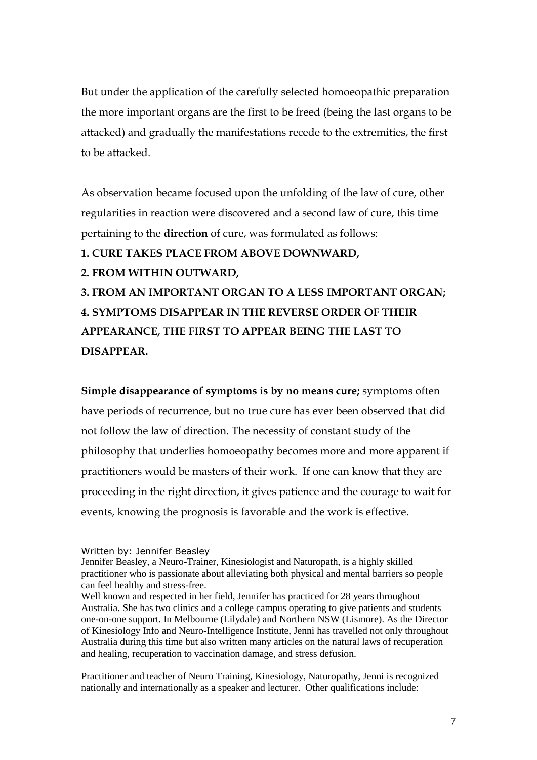But under the application of the carefully selected homoeopathic preparation the more important organs are the first to be freed (being the last organs to be attacked) and gradually the manifestations recede to the extremities, the first to be attacked.

As observation became focused upon the unfolding of the law of cure, other regularities in reaction were discovered and a second law of cure, this time pertaining to the **direction** of cure, was formulated as follows:

**1. CURE TAKES PLACE FROM ABOVE DOWNWARD,** 

**2. FROM WITHIN OUTWARD,** 

**3. FROM AN IMPORTANT ORGAN TO A LESS IMPORTANT ORGAN; 4. SYMPTOMS DISAPPEAR IN THE REVERSE ORDER OF THEIR APPEARANCE, THE FIRST TO APPEAR BEING THE LAST TO DISAPPEAR.**

**Simple disappearance of symptoms is by no means cure;** symptoms often have periods of recurrence, but no true cure has ever been observed that did not follow the law of direction. The necessity of constant study of the philosophy that underlies homoeopathy becomes more and more apparent if practitioners would be masters of their work. If one can know that they are proceeding in the right direction, it gives patience and the courage to wait for events, knowing the prognosis is favorable and the work is effective.

Written by: Jennifer Beasley

Practitioner and teacher of Neuro Training, Kinesiology, Naturopathy, Jenni is recognized nationally and internationally as a speaker and lecturer. Other qualifications include:

Jennifer Beasley, a Neuro-Trainer, Kinesiologist and Naturopath, is a highly skilled practitioner who is passionate about alleviating both physical and mental barriers so people can feel healthy and stress-free.

Well known and respected in her field, Jennifer has practiced for 28 years throughout Australia. She has two clinics and a college campus operating to give patients and students one-on-one support. In Melbourne (Lilydale) and Northern NSW (Lismore). As the Director of Kinesiology Info and Neuro-Intelligence Institute, Jenni has travelled not only throughout Australia during this time but also written many articles on the natural laws of recuperation and healing, recuperation to vaccination damage, and stress defusion.